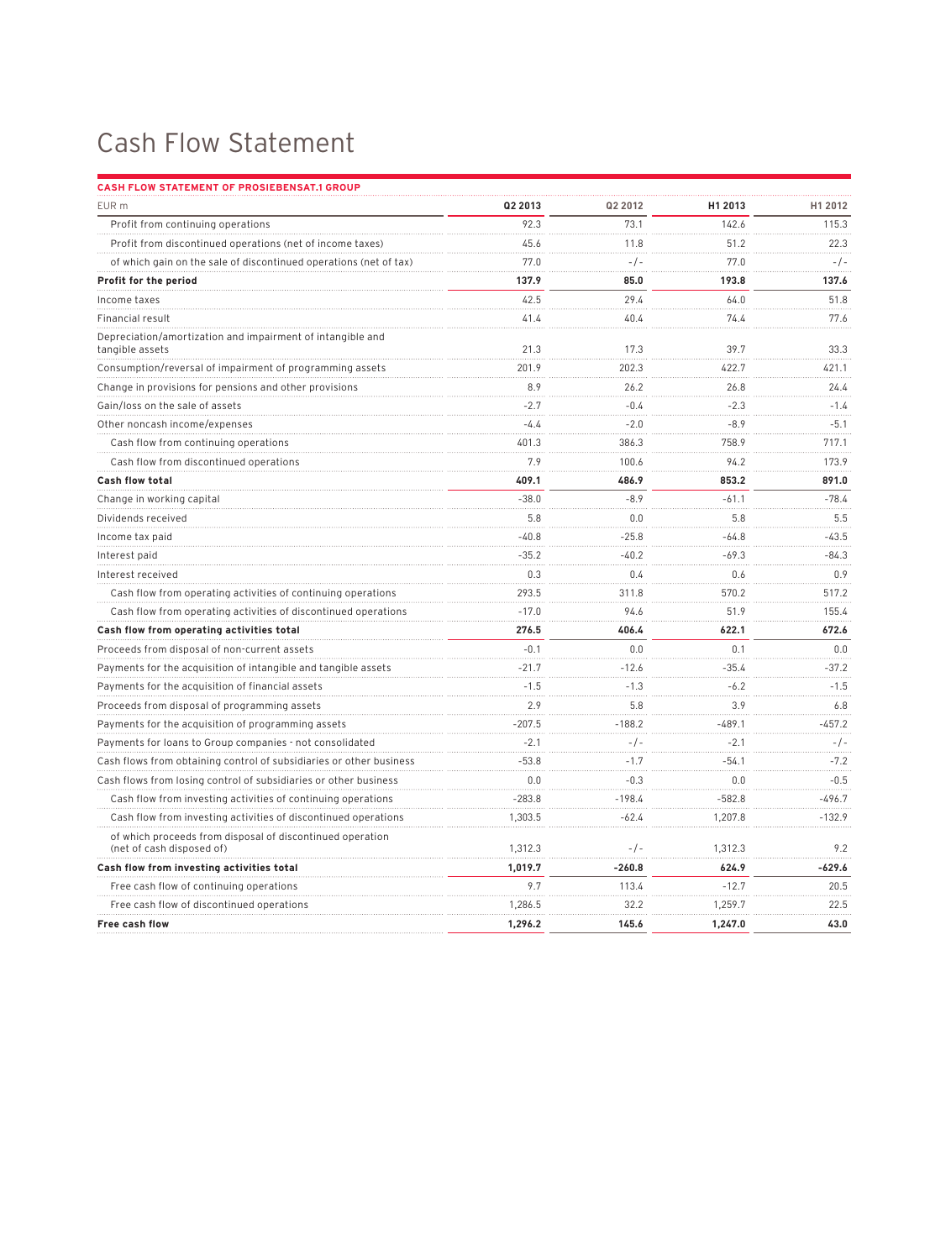## Cash Flow Statement

| <b>CASH FLOW STATEMENT OF PROSIEBENSAT.1 GROUP</b>                                     |          |           |          |          |
|----------------------------------------------------------------------------------------|----------|-----------|----------|----------|
| EUR m                                                                                  | Q2 2013  | Q2 2012   | H1 2013  | H1 2012  |
| Profit from continuing operations                                                      | 92.3     | 73.1      | 142.6    | 115.3    |
| Profit from discontinued operations (net of income taxes)                              | 45.6     | 11.8      | 51.2     | 22.3     |
| of which gain on the sale of discontinued operations (net of tax)                      | 77.0     | $-/-$     | 77.0     | $-/-$    |
| Profit for the period                                                                  | 137.9    | 85.0      | 193.8    | 137.6    |
| Income taxes                                                                           | 42.5     | 29.4      | 64.0     | 51.8     |
| Financial result                                                                       | 41.4     | 40.4      | 74.4     | 77.6     |
| Depreciation/amortization and impairment of intangible and<br>tangible assets          | 21.3     | 17.3      | 39.7     | 33.3     |
| Consumption/reversal of impairment of programming assets                               | 201.9    | 202.3     | 422.7    | 421.1    |
| Change in provisions for pensions and other provisions                                 | 8.9      | 26.2      | 26.8     | 24.4     |
| Gain/loss on the sale of assets                                                        | $-2.7$   | $-0.4$    | $-2.3$   | $-1.4$   |
| Other noncash income/expenses                                                          | $-4.4$   | $-2.0$    | $-8.9$   | $-5.1$   |
| Cash flow from continuing operations                                                   | 401.3    | 386.3     | 758.9    | 717.1    |
| Cash flow from discontinued operations                                                 | 7.9      | 100.6     | 94.2     | 173.9    |
| <b>Cash flow total</b>                                                                 | 409.1    | 486.9     | 853.2    | 891.0    |
| Change in working capital                                                              | $-38.0$  | $-8.9$    | $-61.1$  | $-78.4$  |
| Dividends received                                                                     | 5.8      | 0.0       | 5.8      | 5.5      |
| Income tax paid                                                                        | $-40.8$  | $-25.8$   | $-64.8$  | -43.5    |
| Interest paid                                                                          | $-35.2$  | $-40.2$   | $-69.3$  | $-84.3$  |
| Interest received                                                                      | 0.3      | 0.4       | 0.6      | 0.9      |
| Cash flow from operating activities of continuing operations                           | 293.5    | 311.8     | 570.2    | 517.2    |
| Cash flow from operating activities of discontinued operations                         | $-17.0$  | 94.6      | 51.9     | 155.4    |
| Cash flow from operating activities total                                              | 276.5    | 406.4     | 622.1    | 672.6    |
| Proceeds from disposal of non-current assets                                           | $-0.1$   | 0.0       | 0.1      | 0.0      |
| Payments for the acquisition of intangible and tangible assets                         | $-21.7$  | $-12.6$   | $-35.4$  | $-37.2$  |
| Payments for the acquisition of financial assets                                       | $-1.5$   | $-1.3$    | $-6.2$   | $-1.5$   |
| Proceeds from disposal of programming assets                                           | 2.9      | 5.8       | 3.9      | 6.8      |
| Payments for the acquisition of programming assets                                     | $-207.5$ | $-188.2$  | $-489.1$ | $-457.2$ |
| Payments for loans to Group companies - not consolidated                               | $-2.1$   | $-/-$     | $-2.1$   | $-/-$    |
| Cash flows from obtaining control of subsidiaries or other business                    | $-53.8$  | $-1.7$    | $-54.1$  | $-7.2$   |
| Cash flows from losing control of subsidiaries or other business                       | 0.0      | $-0.3$    | 0.0      | $-0.5$   |
| Cash flow from investing activities of continuing operations                           | $-283.8$ | $-198.4$  | $-582.8$ | -496.7   |
| Cash flow from investing activities of discontinued operations                         | 1.303.5  | $-62.4$   | 1.207.8  | $-132.9$ |
| of which proceeds from disposal of discontinued operation<br>(net of cash disposed of) | 1,312.3  | $-$ / $-$ | 1,312.3  | 9.2      |
| Cash flow from investing activities total                                              | 1,019.7  | $-260.8$  | 624.9    | $-629.6$ |
| Free cash flow of continuing operations                                                | 9.7      | 113.4     | $-12.7$  | 20.5     |
| Free cash flow of discontinued operations                                              | 1,286.5  | 32.2      | 1,259.7  | 22.5     |
| Free cash flow                                                                         | 1,296.2  | 145.6     | 1,247.0  | 43.0     |